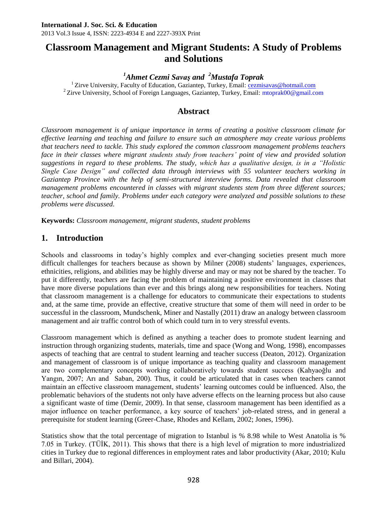# **Classroom Management and Migrant Students: A Study of Problems and Solutions**

*<sup>1</sup>Ahmet Cezmi Savaş and <sup>2</sup>Mustafa Toprak*

<sup>1</sup> Zirve University, Faculty of Education, Gaziantep, Turkey, Email: [cezmisavas@hotmail.com](mailto:cezmisavas@hotmail.com) <sup>2</sup> Zirve University, School of Foreign Languages, Gaziantep, Turkey, Email: mtoprak00@gmail.com

## **Abstract**

*Classroom management is of unique importance in terms of creating a positive classroom climate for effective learning and teaching and failure to ensure such an atmosphere may create various problems that teachers need to tackle. This study explored the common classroom management problems teachers face in their classes where migrant students study from teachers' point of view and provided solution suggestions in regard to these problems. The study, which has a qualitative design, is in a "Holistic Single Case Design" and collected data through interviews with 55 volunteer teachers working in Gaziantep Province with the help of semi-structured interview forms. Data revealed that classroom management problems encountered in classes with migrant students stem from three different sources; teacher, school and family. Problems under each category were analyzed and possible solutions to these problems were discussed.*

**Keywords:** *Classroom management, migrant students, student problems*

### **1. Introduction**

Schools and classrooms in today's highly complex and ever-changing societies present much more difficult challenges for teachers because as shown by Milner (2008) students' languages, experiences, ethnicities, religions, and abilities may be highly diverse and may or may not be shared by the teacher. To put it differently, teachers are facing the problem of maintaining a positive environment in classes that have more diverse populations than ever and this brings along new responsibilities for teachers. Noting that classroom management is a challenge for educators to communicate their expectations to students and, at the same time, provide an effective, creative structure that some of them will need in order to be successful in the classroom, Mundschenk, Miner and Nastally (2011) draw an analogy between classroom management and air traffic control both of which could turn in to very stressful events.

Classroom management which is defined as anything a teacher does to promote student learning and instruction through organizing students, materials, time and space (Wong and Wong, 1998), encompasses aspects of teaching that are central to student learning and teacher success (Deaton, 2012). Organization and management of classroom is of unique importance as teaching quality and classroom management are two complementary concepts working collaboratively towards student success (Kahyaoğlu and Yangın, 2007; Arı and Saban, 200). Thus, it could be articulated that in cases when teachers cannot maintain an effective classroom management, students' learning outcomes could be influenced. Also, the problematic behaviors of the students not only have adverse effects on the learning process but also cause a significant waste of time (Demir, 2009). In that sense, classroom management has been identified as a major influence on teacher performance, a key source of teachers' job-related stress, and in general a prerequisite for student learning (Greer-Chase, Rhodes and Kellam, 2002; Jones, 1996).

Statistics show that the total percentage of migration to Istanbul is % 8.98 while to West Anatolia is % 7.05 in Turkey. (TÜİK, 2011). This shows that there is a high level of migration to more industrialized cities in Turkey due to regional differences in employment rates and labor productivity (Akar, 2010; Kulu and Billari, 2004).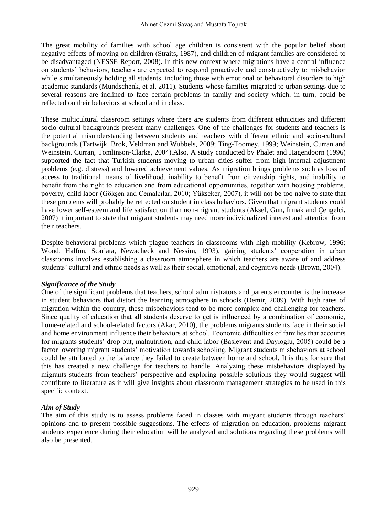The great mobility of families with school age children is consistent with the popular belief about negative effects of moving on children (Straits, 1987), and children of migrant families are considered to be disadvantaged (NESSE Report, 2008). In this new context where migrations have a central influence on students' behaviors, teachers are expected to respond proactively and constructively to misbehavior while simultaneously holding all students, including those with emotional or behavioral disorders to high academic standards (Mundschenk, et al. 2011). Students whose families migrated to urban settings due to several reasons are inclined to face certain problems in family and society which, in turn, could be reflected on their behaviors at school and in class.

These multicultural classroom settings where there are students from different ethnicities and different socio-cultural backgrounds present many challenges. One of the challenges for students and teachers is the potential misunderstanding between students and teachers with different ethnic and socio-cultural backgrounds (Tartwijk, Brok, Veldman and Wubbels, 2009; Ting-Toomey, 1999; Weinstein, Curran and Weinstein, Curran, Tomlinson-Clarke, 2004).Also, A study conducted by Phalet and Hagendoorn (1996) supported the fact that Turkish students moving to urban cities suffer from high internal adjustment problems (e.g. distress) and lowered achievement values. As migration brings problems such as loss of access to traditional means of livelihood, inability to benefit from citizenship rights, and inability to benefit from the right to education and from educational opportunities, together with housing problems, poverty, child labor (Gökşen and Cemalcılar, 2010; Yükseker, 2007), it will not be too naive to state that these problems will probably be reflected on student in class behaviors. Given that migrant students could have lower self-esteem and life satisfaction than non-migrant students (Aksel, Gün, Irmak and Çengelci, 2007) it important to state that migrant students may need more individualized interest and attention from their teachers.

Despite behavioral problems which plague teachers in classrooms with high mobility (Kebrow, 1996; Wood, Halfon, Scarlata, Newacheck and Nessim, 1993), gaining students' cooperation in urban classrooms involves establishing a classroom atmosphere in which teachers are aware of and address students' cultural and ethnic needs as well as their social, emotional, and cognitive needs (Brown, 2004).

#### *Significance of the Study*

One of the significant problems that teachers, school administrators and parents encounter is the increase in student behaviors that distort the learning atmosphere in schools (Demir, 2009). With high rates of migration within the country, these misbehaviors tend to be more complex and challenging for teachers. Since quality of education that all students deserve to get is influenced by a combination of economic, home-related and school-related factors (Akar, 2010), the problems migrants students face in their social and home environment influence their behaviors at school. Economic difficulties of families that accounts for migrants students' drop-out, malnutrition, and child labor (Baslevent and Dayıoglu, 2005) could be a factor lowering migrant students' motivation towards schooling. Migrant students misbehaviors at school could be attributed to the balance they failed to create between home and school. It is thus for sure that this has created a new challenge for teachers to handle. Analyzing these misbehaviors displayed by migrants students from teachers' perspective and exploring possible solutions they would suggest will contribute to literature as it will give insights about classroom management strategies to be used in this specific context.

#### *Aim of Study*

The aim of this study is to assess problems faced in classes with migrant students through teachers' opinions and to present possible suggestions. The effects of migration on education, problems migrant students experience during their education will be analyzed and solutions regarding these problems will also be presented.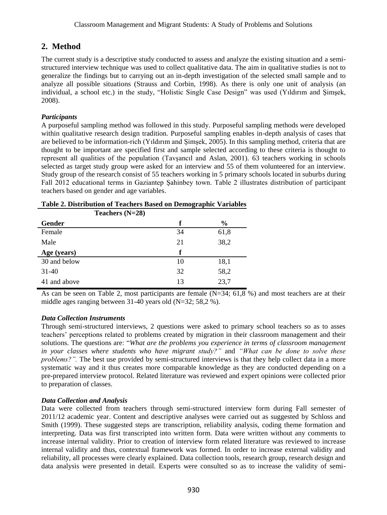# **2. Method**

The current study is a descriptive study conducted to assess and analyze the existing situation and a semistructured interview technique was used to collect qualitative data. The aim in qualitative studies is not to generalize the findings but to carrying out an in-depth investigation of the selected small sample and to analyze all possible situations (Strauss and Corbin, 1998). As there is only one unit of analysis (an individual, a school etc.) in the study, "Holistic Single Case Design" was used (Yıldırım and Şimşek, 2008).

### *Participants*

A purposeful sampling method was followed in this study. Purposeful sampling methods were developed within qualitative research design tradition. Purposeful sampling enables in-depth analysis of cases that are believed to be information-rich (Yıldırım and Şimşek, 2005). In this sampling method, criteria that are thought to be important are specified first and sample selected according to these criteria is thought to represent all qualities of the population (Tavşancıl and Aslan, 2001). 63 teachers working in schools selected as target study group were asked for an interview and 55 of them volunteered for an interview. Study group of the research consist of 55 teachers working in 5 primary schools located in suburbs during Fall 2012 educational terms in Gaziantep Şahinbey town. Table 2 illustrates distribution of participant teachers based on gender and age variables.

| Teachers $(N=28)$ |    |               |
|-------------------|----|---------------|
| Gender            | f  | $\frac{6}{9}$ |
| Female            | 34 | 61,8          |
| Male              | 21 | 38,2          |
|                   |    |               |
| Age (years)       | f  |               |
| 30 and below      | 10 | 18,1          |
| $31-40$           | 32 | 58,2          |

|  |  | Table 2. Distribution of Teachers Based on Demographic Variables |  |
|--|--|------------------------------------------------------------------|--|
|  |  |                                                                  |  |

As can be seen on Table 2, most participants are female  $(N=34; 61.8 %)$  and most teachers are at their middle ages ranging between 31-40 years old (N=32; 58,2 %).

### *Data Collection Instruments*

Through semi-structured interviews, 2 questions were asked to primary school teachers so as to asses teachers' perceptions related to problems created by migration in their classroom management and their solutions. The questions are: "*What are the problems you experience in terms of classroom management in your classes where students who have migrant study?"* and *"What can be done to solve these problems?"*. The best use provided by semi-structured interviews is that they help collect data in a more systematic way and it thus creates more comparable knowledge as they are conducted depending on a pre-prepared interview protocol. Related literature was reviewed and expert opinions were collected prior to preparation of classes.

### *Data Collection and Analysis*

Data were collected from teachers through semi-structured interview form during Fall semester of 2011/12 academic year. Content and descriptive analyses were carried out as suggested by Schloss and Smith (1999). These suggested steps are transcription, reliability analysis, coding theme formation and interpreting. Data was first transcripted into written form. Data were written without any comments to increase internal validity. Prior to creation of interview form related literature was reviewed to increase internal validity and thus, contextual framework was formed. In order to increase external validity and reliability, all processes were clearly explained. Data collection tools, research group, research design and data analysis were presented in detail. Experts were consulted so as to increase the validity of semi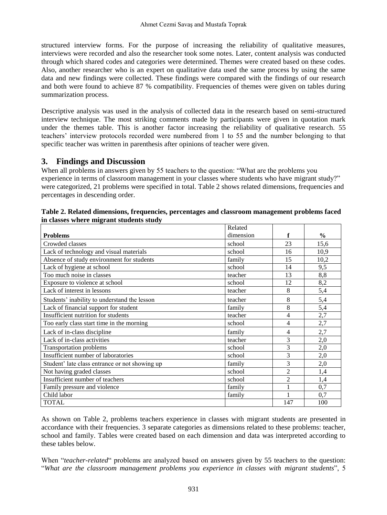structured interview forms. For the purpose of increasing the reliability of qualitative measures, interviews were recorded and also the researcher took some notes. Later, content analysis was conducted through which shared codes and categories were determined. Themes were created based on these codes. Also, another researcher who is an expert on qualitative data used the same process by using the same data and new findings were collected. These findings were compared with the findings of our research and both were found to achieve 87 % compatibility. Frequencies of themes were given on tables during summarization process.

Descriptive analysis was used in the analysis of collected data in the research based on semi-structured interview technique. The most striking comments made by participants were given in quotation mark under the themes table. This is another factor increasing the reliability of qualitative research. 55 teachers' interview protocols recorded were numbered from 1 to 55 and the number belonging to that specific teacher was written in parenthesis after opinions of teacher were given.

### **3. Findings and Discussion**

When all problems in answers given by 55 teachers to the question: "What are the problems you experience in terms of classroom management in your classes where students who have migrant study?" were categorized, 21 problems were specified in total. Table 2 shows related dimensions, frequencies and percentages in descending order.

|                                                | Related   |                |               |
|------------------------------------------------|-----------|----------------|---------------|
| <b>Problems</b>                                | dimension | f              | $\frac{0}{0}$ |
| Crowded classes                                | school    | 23             | 15,6          |
| Lack of technology and visual materials        | school    | 16             | 10,9          |
| Absence of study environment for students      | family    | 15             | 10,2          |
| Lack of hygiene at school                      | school    | 14             | 9,5           |
| Too much noise in classes                      | teacher   | 13             | 8,8           |
| Exposure to violence at school                 | school    | 12             | 8,2           |
| Lack of interest in lessons                    | teacher   | 8              | 5,4           |
| Students' inability to understand the lesson   | teacher   | 8              | 5,4           |
| Lack of financial support for student          | family    | 8              | 5,4           |
| Insufficient nutrition for students            | teacher   | 4              | 2,7           |
| Too early class start time in the morning      | school    | 4              | 2,7           |
| Lack of in-class discipline                    | family    | 4              | 2,7           |
| Lack of in-class activities                    | teacher   | 3              | 2,0           |
| <b>Transportation problems</b>                 | school    | 3              | 2,0           |
| Insufficient number of laboratories            | school    | 3              | 2,0           |
| Student' late class entrance or not showing up | family    | 3              | 2,0           |
| Not having graded classes                      | school    | $\overline{2}$ | 1,4           |
| Insufficient number of teachers                | school    | $\overline{2}$ | 1,4           |
| Family pressure and violence                   | family    |                | 0,7           |
| Child labor                                    | family    | 1              | 0,7           |
| <b>TOTAL</b>                                   |           | 147            | 100           |

| Table 2. Related dimensions, frequencies, percentages and classroom management problems faced |  |  |  |
|-----------------------------------------------------------------------------------------------|--|--|--|
| in classes where migrant students study                                                       |  |  |  |

As shown on Table 2, problems teachers experience in classes with migrant students are presented in accordance with their frequencies. 3 separate categories as dimensions related to these problems: teacher, school and family. Tables were created based on each dimension and data was interpreted according to these tables below.

When "*teacher-related*" problems are analyzed based on answers given by 55 teachers to the question: "*What are the classroom management problems you experience in classes with migrant students*", 5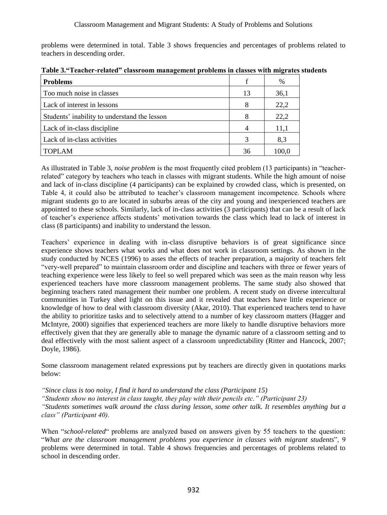problems were determined in total. Table 3 shows frequencies and percentages of problems related to teachers in descending order.

| <b>Problems</b>                              | f  | %     |
|----------------------------------------------|----|-------|
| Too much noise in classes                    | 13 | 36,1  |
| Lack of interest in lessons                  | 8  | 22,2  |
| Students' inability to understand the lesson | 8  | 22,2  |
| Lack of in-class discipline                  | 4  | 11,1  |
| Lack of in-class activities                  | 3  | 8.3   |
| <b>TOPLAM</b>                                | 36 | 100,0 |

**Table 3."Teacher-related" classroom management problems in classes with migrates students**

As illustrated in Table 3, *noise problem* is the most frequently cited problem (13 participants) in "teacherrelated" category by teachers who teach in classes with migrant students. While the high amount of noise and lack of in-class discipline (4 participants) can be explained by crowded class, which is presented, on Table 4, it could also be attributed to teacher's classroom management incompetence. Schools where migrant students go to are located in suburbs areas of the city and young and inexperienced teachers are appointed to these schools. Similarly, lack of in-class activities (3 participants) that can be a result of lack of teacher's experience affects students' motivation towards the class which lead to lack of interest in class (8 participants) and inability to understand the lesson.

Teachers' experience in dealing with in-class disruptive behaviors is of great significance since experience shows teachers what works and what does not work in classroom settings. As shown in the study conducted by NCES (1996) to asses the effects of teacher preparation, a majority of teachers felt "very-well prepared" to maintain classroom order and discipline and teachers with three or fewer years of teaching experience were less likely to feel so well prepared which was seen as the main reason why less experienced teachers have more classroom management problems. The same study also showed that beginning teachers rated management their number one problem. A recent study on diverse intercultural communities in Turkey shed light on this issue and it revealed that teachers have little experience or knowledge of how to deal with classroom diversity (Akar, 2010). That experienced teachers tend to have the ability to prioritize tasks and to selectively attend to a number of key classroom matters (Hagger and McIntyre, 2000) signifies that experienced teachers are more likely to handle disruptive behaviors more effectively given that they are generally able to manage the dynamic nature of a classroom setting and to deal effectively with the most salient aspect of a classroom unpredictability (Ritter and Hancock, 2007; Doyle, 1986).

Some classroom management related expressions put by teachers are directly given in quotations marks below:

*"Since class is too noisy, I find it hard to understand the class (Participant 15)*

*"Students show no interest in class taught, they play with their pencils etc." (Participant 23)*

*"Students sometimes walk around the class during lesson, some other talk. It resembles anything but a class" (Participant 40).*

When "*school-related*" problems are analyzed based on answers given by 55 teachers to the question: "*What are the classroom management problems you experience in classes with migrant students*", 9 problems were determined in total. Table 4 shows frequencies and percentages of problems related to school in descending order.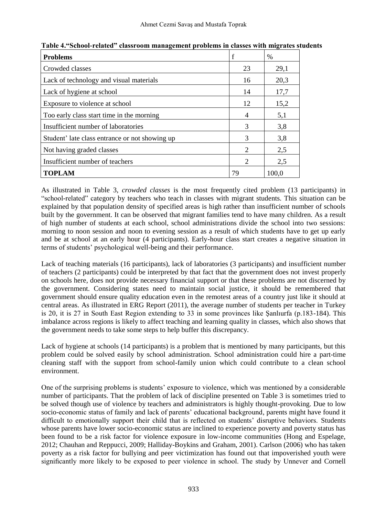| <b>Problems</b>                                |                             | $\frac{0}{0}$ |
|------------------------------------------------|-----------------------------|---------------|
| Crowded classes                                | 23                          | 29,1          |
| Lack of technology and visual materials        | 16                          | 20,3          |
| Lack of hygiene at school                      | 14                          | 17,7          |
| Exposure to violence at school                 | 12                          | 15,2          |
| Too early class start time in the morning      | 4                           | 5,1           |
| Insufficient number of laboratories            | 3                           | 3,8           |
| Student' late class entrance or not showing up | 3                           | 3,8           |
| Not having graded classes                      | $\mathfrak{D}$              | 2,5           |
| Insufficient number of teachers                | $\mathcal{D}_{\mathcal{L}}$ | 2,5           |
| <b>TOPLAM</b>                                  | 79                          | 100.0         |

**Table 4."School-related" classroom management problems in classes with migrates students**

As illustrated in Table 3, *crowded classes* is the most frequently cited problem (13 participants) in "school-related" category by teachers who teach in classes with migrant students. This situation can be explained by that population density of specified areas is high rather than insufficient number of schools built by the government. It can be observed that migrant families tend to have many children. As a result of high number of students at each school, school administrations divide the school into two sessions: morning to noon session and noon to evening session as a result of which students have to get up early and be at school at an early hour (4 participants). Early-hour class start creates a negative situation in terms of students' psychological well-being and their performance.

Lack of teaching materials (16 participants), lack of laboratories (3 participants) and insufficient number of teachers (2 participants) could be interpreted by that fact that the government does not invest properly on schools here, does not provide necessary financial support or that these problems are not discerned by the government. Considering states need to maintain social justice, it should be remembered that government should ensure quality education even in the remotest areas of a country just like it should at central areas. As illustrated in ERG Report (2011), the average number of students per teacher in Turkey is 20, it is 27 in South East Region extending to 33 in some provinces like Şanlıurfa (p.183-184). This imbalance across regions is likely to affect teaching and learning quality in classes, which also shows that the government needs to take some steps to help buffer this discrepancy.

Lack of hygiene at schools (14 participants) is a problem that is mentioned by many participants, but this problem could be solved easily by school administration. School administration could hire a part-time cleaning staff with the support from school-family union which could contribute to a clean school environment.

One of the surprising problems is students' exposure to violence, which was mentioned by a considerable number of participants. That the problem of lack of discipline presented on Table 3 is sometimes tried to be solved though use of violence by teachers and administrators is highly thought-provoking. Due to low socio-economic status of family and lack of parents' educational background, parents might have found it difficult to emotionally support their child that is reflected on students' disruptive behaviors. Students whose parents have lower socio-economic status are inclined to experience poverty and poverty status has been found to be a risk factor for violence exposure in low-income communities (Hong and Espelage, 2012; Chauhan and Reppucci, 2009; Halliday-Boykins and Graham, 2001). Carlson (2006) who has taken poverty as a risk factor for bullying and peer victimization has found out that impoverished youth were significantly more likely to be exposed to peer violence in school. The study by Unnever and Cornell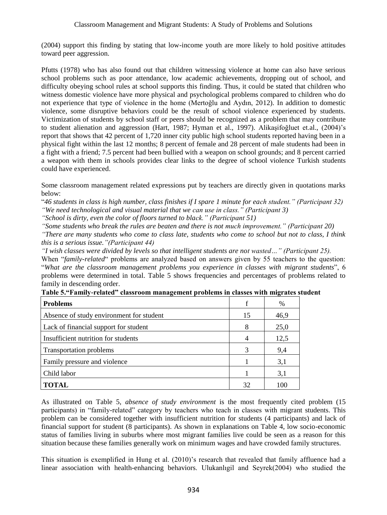(2004) support this finding by stating that low-income youth are more likely to hold positive attitudes toward peer aggression.

Pfutts (1978) who has also found out that children witnessing violence at home can also have serious school problems such as poor attendance, low academic achievements, dropping out of school, and difficulty obeying school rules at school supports this finding. Thus, it could be stated that children who witness domestic violence have more physical and psychological problems compared to children who do not experience that type of violence in the home (Mertoğlu and Aydın, 2012). In addition to domestic violence, some disruptive behaviors could be the result of school violence experienced by students. Victimization of students by school staff or peers should be recognized as a problem that may contribute to student alienation and aggression (Hart, 1987; Hyman et al., 1997). Alikaşifoğluet et.al., (2004)'s report that shows that 42 percent of 1,720 inner city public high school students reported having been in a physical fight within the last 12 months; 8 percent of female and 28 percent of male students had been in a fight with a friend; 7.5 percent had been bullied with a weapon on school grounds; and 8 percent carried a weapon with them in schools provides clear links to the degree of school violence Turkish students could have experienced.

Some classroom management related expressions put by teachers are directly given in quotations marks below:

"*46 students in class is high number, class finishes if I spare 1 minute for each student." (Participant 32) "We need technological and visual material that we can use in class." (Participant 3)*

*"School is dirty, even the color of floors turned to black." (Participant 51)*

*"Some students who break the rules are beaten and there is not much improvement." (Participant 20)*

*"There are many students who come to class late, students who come to school but not to class, I think this is a serious issue."(Participant 44)*

*"I wish classes were divided by levels so that intelligent students are not wasted…" (Participant 25).*

When "*family-related*" problems are analyzed based on answers given by 55 teachers to the question: "*What are the classroom management problems you experience in classes with migrant students*", 6 problems were determined in total. Table 5 shows frequencies and percentages of problems related to family in descending order.

| <b>Problems</b>                          |    | %    |
|------------------------------------------|----|------|
| Absence of study environment for student | 15 | 46,9 |
| Lack of financial support for student    | 8  | 25,0 |
| Insufficient nutrition for students      | 4  | 12,5 |
| <b>Transportation problems</b>           | 3  | 9,4  |
| Family pressure and violence             |    | 3,1  |
| Child labor                              |    | 3,1  |
| <b>TOTAL</b>                             | 32 | 100  |

| Table 5."Family-related" classroom management problems in classes with migrates student |  |  |
|-----------------------------------------------------------------------------------------|--|--|

As illustrated on Table 5, *absence of study environment* is the most frequently cited problem (15 participants) in "family-related" category by teachers who teach in classes with migrant students. This problem can be considered together with insufficient nutrition for students (4 participants) and lack of financial support for student (8 participants). As shown in explanations on Table 4, low socio-economic status of families living in suburbs where most migrant families live could be seen as a reason for this situation because these families generally work on minimum wages and have crowded family structures.

This situation is exemplified in Hung et al. (2010)'s research that revealed that family affluence had a linear association with health-enhancing behaviors. Ulukanlıgil and Seyrek(2004) who studied the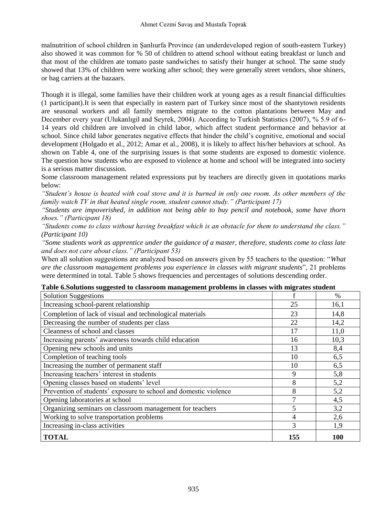malnutrition of school children in Şanlıurfa Province (an underdeveloped region of south-eastern Turkey) also showed it was common for % 50 of children to attend school without eating breakfast or lunch and that most of the children ate tomato paste sandwiches to satisfy their hunger at school. The same study showed that 13% of children were working after school; they were generally street vendors, shoe shiners, or bag carriers at the bazaars.

Though it is illegal, some families have their children work at young ages as a result financial difficulties (1 participant).It is seen that especially in eastern part of Turkey since most of the shantytown residents are seasonal workers and all family members migrate to the cotton plantations between May and December every year (Ulukanlıgil and Seyrek, 2004). According to Turkish Statistics (2007), % 5.9 of 6- 14 years old children are involved in child labor, which affect student performance and behavior at school. Since child labor generates negative effects that hinder the child's cognitive, emotional and social development (Holgado et al., 2012; Amar et al., 2008), it is likely to affect his/her behaviors at school. As shown on Table 4, one of the surprising issues is that some students are exposed to domestic violence. The question how students who are exposed to violence at home and school will be integrated into society is a serious matter discussion.

Some classroom management related expressions put by teachers are directly given in quotations marks below:

*"Student's house is heated with coal stove and it is burned in only one room. As other members of the family watch TV in that heated single room, student cannot study." (Participant 17)*

*"Students are impoverished, in addition not being able to buy pencil and notebook, some have thorn shoes." (Participant 18)*

*"Students come to class without having breakfast which is an obstacle for them to understand the class." (Participant 10)*

*"Some students work as apprentice under the guidance of a master, therefore, students come to class late and does not care about class." (Participant 53)*

When all solution suggestions are analyzed based on answers given by 55 teachers to the question: "*What are the classroom management problems you experience in classes with migrant students*", 21 problems were determined in total. Table 5 shows frequencies and percentages of solutions descending order.

| who onorwithin buggebred to enable community enterity problems in enables with mighweb stud |               |      |
|---------------------------------------------------------------------------------------------|---------------|------|
| <b>Solution Suggestions</b>                                                                 |               | $\%$ |
| Increasing school-parent relationship                                                       | 25            | 16,1 |
| Completion of lack of visual and technological materials                                    | 23            | 14,8 |
| Decreasing the number of students per class                                                 | 22            | 14,2 |
| Cleanness of school and classes                                                             | 17            | 11,0 |
| Increasing parents' awareness towards child education                                       | 16            | 10,3 |
| Opening new schools and units                                                               | 13            | 8,4  |
| Completion of teaching tools                                                                | 10            | 6,5  |
| Increasing the number of permanent staff                                                    | 10            | 6,5  |
| Increasing teachers' interest in students                                                   | 9             | 5,8  |
| Opening classes based on students' level                                                    | 8             | 5,2  |
| Prevention of students' exposure to school and domestic violence                            | 8             | 5,2  |
| Opening laboratories at school                                                              |               | 4,5  |
| Organizing seminars on classroom management for teachers                                    | 5             | 3,2  |
| Working to solve transportation problems                                                    | 4             | 2,6  |
| Increasing in-class activities                                                              | $\mathcal{R}$ | 1,9  |
| <b>TOTAL</b>                                                                                | 155           | 100  |

|  |  | Table 6.Solutions suggested to classroom management problems in classes with migrates student |  |  |
|--|--|-----------------------------------------------------------------------------------------------|--|--|
|  |  |                                                                                               |  |  |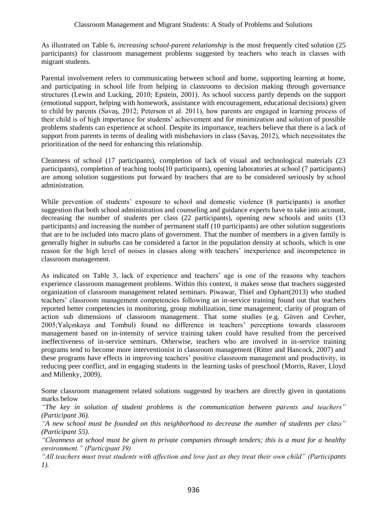As illustrated on Table 6, *increasing school-parent relationship* is the most frequently cited solution (25 participants) for classroom management problems suggested by teachers who teach in classes with migrant students.

Parental involvement refers to communicating between school and home, supporting learning at home, and participating in school life from helping in classrooms to decision making through governance structures (Lewin and Lucking, 2010; Epstein, 2001). As school success partly depends on the support (emotional support, helping with homework, assistance with encouragement, educational decisions) given to child by parents (Savaş, 2012; Peterson et al. 2011), how parents are engaged in learning process of their child is of high importance for students' achievement and for minimization and solution of possible problems students can experience at school. Despite its importance, teachers believe that there is a lack of support from parents in terms of dealing with misbehaviors in class (Savaş, 2012), which necessitates the prioritization of the need for enhancing this relationship.

Cleanness of school (17 participants), completion of lack of visual and technological materials (23 participants), completion of teaching tools(10 participants), opening laboratories at school (7 participants) are among solution suggestions put forward by teachers that are to be considered seriously by school administration.

While prevention of students' exposure to school and domestic violence (8 participants) is another suggestion that both school administration and counseling and guidance experts have to take into account, decreasing the number of students per class (22 participants), opening new schools and units (13 participants) and increasing the number of permanent staff (10 participants) are other solution suggestions that are to be included into macro plans of government. That the number of members in a given family is generally higher in suburbs can be considered a factor in the population density at schools, which is one reason for the high level of noises in classes along with teachers' inexperience and incompetence in classroom management.

As indicated on Table 3, lack of experience and teachers' age is one of the reasons why teachers experience classroom management problems. Within this context, it makes sense that teachers suggested organization of classroom management related seminars. Piwawar, Thiel and Ophart(2013) who studied teachers' classroom management competencies following an in-service training found out that teachers reported better competencies in monitoring, group mobilization, time management, clarity of program of action sub dimensions of classroom management. That some studies (e.g. Güven and Cevher, 2005;Yalçınkaya and Tombul) found no difference in teachers' perceptions towards classroom management based on in-intensity of service training taken could have resulted from the perceived ineffectiveness of in-service seminars. Otherwise, teachers who are involved in in-service training programs tend to become more interventionist in classroom management (Ritter and Hancock, 2007) and these programs have effects in improving teachers' positive classroom management and productivity, in reducing peer conflict, and in engaging students in the learning tasks of preschool (Morris, Raver, Lloyd and Millenky, 2009).

Some classroom management related solutions suggested by teachers are directly given in quotations marks below

*"The key in solution of student problems is the communication between parents and teachers" (Participant 36).*

*"A new school must be founded on this neighborhood to decrease the number of students per class" (Participant 55).*

*"Cleanness at school must be given to private companies through tenders; this is a must for a healthy environment." (Participant 39)*

*"All teachers must treat students with affection and love just as they treat their own child" (Participants 1).*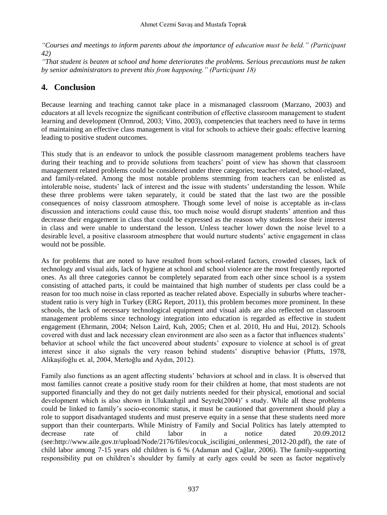*"Courses and meetings to inform parents about the importance of education must be held." (Participant 42)*

*"That student is beaten at school and home deteriorates the problems. Serious precautions must be taken by senior administrators to prevent this from happening." (Participant 18)*

## **4. Conclusion**

Because learning and teaching cannot take place in a mismanaged classroom (Marzano, 2003) and educators at all levels recognize the significant contribution of effective classroom management to student learning and development (Ormrod, 2003; Vitto, 2003), competencies that teachers need to have in terms of maintaining an effective class management is vital for schools to achieve their goals: effective learning leading to positive student outcomes.

This study that is an endeavor to unlock the possible classroom management problems teachers have during their teaching and to provide solutions from teachers' point of view has shown that classroom management related problems could be considered under three categories; teacher-related, school-related, and family-related. Among the most notable problems stemming from teachers can be enlisted as intolerable noise, students' lack of interest and the issue with students' understanding the lesson. While these three problems were taken separately, it could be stated that the last two are the possible consequences of noisy classroom atmosphere. Though some level of noise is acceptable as in-class discussion and interactions could cause this, too much noise would disrupt students' attention and thus decrease their engagement in class that could be expressed as the reason why students lose their interest in class and were unable to understand the lesson. Unless teacher lower down the noise level to a desirable level, a positive classroom atmosphere that would nurture students' active engagement in class would not be possible.

As for problems that are noted to have resulted from school-related factors, crowded classes, lack of technology and visual aids, lack of hygiene at school and school violence are the most frequently reported ones. As all three categories cannot be completely separated from each other since school is a system consisting of attached parts, it could be maintained that high number of students per class could be a reason for too much noise in class reported as teacher related above. Especially in suburbs where teacherstudent ratio is very high in Turkey (ERG Report, 2011), this problem becomes more prominent. In these schools, the lack of necessary technological equipment and visual aids are also reflected on classroom management problems since technology integration into education is regarded as effective in student engagement (Ehrmann, 2004; Nelson Laird, Kuh, 2005; Chen et al. 2010, Hu and Hui, 2012). Schools covered with dust and lack necessary clean environment are also seen as a factor that influences students' behavior at school while the fact uncovered about students' exposure to violence at school is of great interest since it also signals the very reason behind students' disruptive behavior (Pfutts, 1978, Alikaşifoğlu et. al, 2004, Mertoğlu and Aydın, 2012).

Family also functions as an agent affecting students' behaviors at school and in class. It is observed that most families cannot create a positive study room for their children at home, that most students are not supported financially and they do not get daily nutrients needed for their physical, emotional and social development which is also shown in Ulukanlıgil and Seyrek(2004)' s study. While all these problems could be linked to family's socio-economic status, it must be cautioned that government should play a role to support disadvantaged students and must preserve equity in a sense that these students need more support than their counterparts. While Ministry of Family and Social Politics has lately attempted to decrease rate of child labor in a notice dated 20.09.2012 (see:http://www.aile.gov.tr/upload/Node/2176/files/cocuk\_isciligini\_onlenmesi\_2012-20.pdf), the rate of child labor among 7-15 years old children is 6 % (Adaman and Çağlar, 2006). The family-supporting responsibility put on children's shoulder by family at early ages could be seen as factor negatively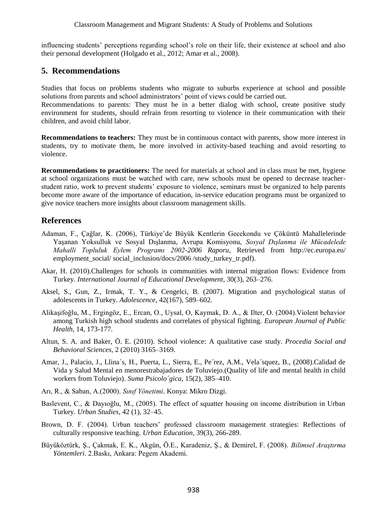influencing students' perceptions regarding school's role on their life, their existence at school and also their personal development (Holgado et al., 2012; Amar et al., 2008).

#### **5. Recommendations**

Studies that focus on problems students who migrate to suburbs experience at school and possible solutions from parents and school administrators' point of views could be carried out.

Recommendations to parents: They must be in a better dialog with school, create positive study environment for students, should refrain from resorting to violence in their communication with their children, and avoid child labor.

**Recommendations to teachers:** They must be in continuous contact with parents, show more interest in students, try to motivate them, be more involved in activity-based teaching and avoid resorting to violence.

**Recommendations to practitioners:** The need for materials at school and in class must be met, hygiene at school organizations must be watched with care, new schools must be opened to decrease teacherstudent ratio, work to prevent students' exposure to violence, seminars must be organized to help parents become more aware of the importance of education, in-service education programs must be organized to give novice teachers more insights about classroom management skills.

#### **References**

- Adaman, F., Çağlar, K. (2006), Türkiye'de Büyük Kentlerin Gecekondu ve Çöküntü Mahallelerinde Yaşanan Yoksulluk ve Sosyal Dışlanma, Avrupa Komisyonu, *Sosyal Dışlanma ile Mücadelede Mahalli Topluluk Eylem Programı 2002-2006 Raporu*, Retrieved from http://ec.europa.eu/ employment\_social/ social\_inclusion/docs/2006 /study\_turkey\_tr.pdf).
- Akar, H. (2010).Challenges for schools in communities with internal migration flows: Evidence from Turkey. *[International Journal of Educational Development](http://www.sciencedirect.com/science/journal/07380593)*, 30(3), 263–276.
- Aksel, S., Gun, Z., Irmak, T. Y., & Cengelci, B. (2007). Migration and psychological status of adolescents in Turkey. *Adolescence*, 42(167), 589–602.
- Alikaşifoğlu, M., Ergingöz, E., Ercan, O., Uysal, O, Kaymak, D. A., & Ilter, O. (2004).Violent behavior among Turkish high school students and correlates of physical fighting. *European Journal of Public Health*, 14, 173-177.
- Altun, S. A. and Baker, Ö. E. (2010). School violence: A qualitative case study. *Procedia Social and Behavioral Sciences,* 2 (2010) 3165–3169.
- Amar, J., Palacio, J., Llina´s, H., Puerta, L., Sierra, E., Pe´rez, A.M., Vela´squez, B., (2008).Calidad de Vida y Salud Mental en menorestrabajadores de Toluviejo.(Quality of life and mental health in child workers from Toluviejo). *Suma Psicolo´gica,* 15(2), 385–410.
- Arı, R., & Saban, A.(2000). *Sınıf Yönetimi*. Konya: Mikro Dizgi.
- Baslevent, C., & Dayıoğlu, M., (2005). The effect of squatter housing on income distribution in Urban Turkey. *Urban Studies*, 42 (1), 32–45.
- Brown, D. F. (2004). Urban teachers' professed classroom management strategies: Reflections of culturally responsive teaching. *Urban Education*, 39(3), 266-289.
- Büyüköztürk, Ş., Çakmak, E. K., Akgün, Ö.E., Karadeniz, Ş., & Demirel, F. (2008). *Bilimsel Araştırma Yöntemleri*. 2.Baskı, Ankara: Pegem Akademi.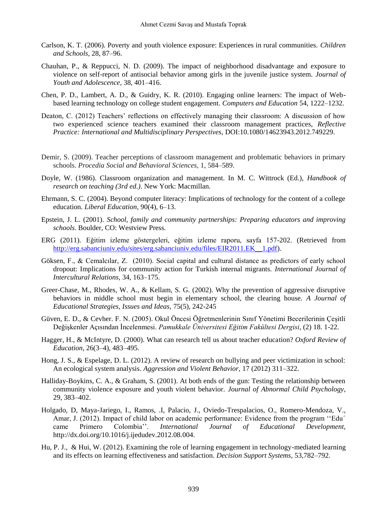- Carlson, K. T. (2006). Poverty and youth violence exposure: Experiences in rural communities. *Children and Schools,* 28, 87–96.
- Chauhan, P., & Reppucci, N. D. (2009). The impact of neighborhood disadvantage and exposure to violence on self-report of antisocial behavior among girls in the juvenile justice system. *Journal of Youth and Adolescence*, 38, 401–416.
- Chen, P. D., Lambert, A. D., & Guidry, K. R. (2010). Engaging online learners: The impact of Webbased learning technology on college student engagement. *Computers and Education* 54, 1222–1232.
- Deaton, C. (2012) Teachers' reflections on effectively managing their classroom: A discussion of how two experienced science teachers examined their classroom management practices, *Reflective Practice: International and Multidisciplinary Perspectives*, DOI:10.1080/14623943.2012.749229.
- Demir, S. (2009). Teacher perceptions of classroom management and problematic behaviors in primary schools. *Procedia Social and Behavioral Sciences,* 1, 584–589.
- Doyle, W. (1986). Classroom organization and management. In M. C. Wittrock (Ed.), *Handbook of research on teaching (3rd ed.)*. New York: Macmillan.
- Ehrmann, S. C. (2004). Beyond computer literacy: Implications of technology for the content of a college education. *Liberal Education,* 90(4), 6–13.
- Epstein, J. L. (2001). *School, family and community partnerships: Preparing educators and improving schools*. Boulder, CO: Westview Press.
- ERG (2011). Eğitim izleme göstergeleri, eğitim izleme raporu, sayfa 157-202. (Retrieved from [http://erg.sabanciuniv.edu/sites/erg.sabanciuniv.edu/files/EIR2011.EK\\_\\_1.pdf\)](http://erg.sabanciuniv.edu/sites/erg.sabanciuniv.edu/files/EIR2011.EK__1.pdf).
- Göksen, F., & Cemalcılar, Z. (2010). Social capital and cultural distance as predictors of early school dropout: Implications for community action for Turkish internal migrants. *International Journal of Intercultural Relations,* 34, 163–175.
- Greer-Chase, M., Rhodes, W. A., & Kellam, S. G. (2002). Why the prevention of aggressive disruptive behaviors in middle school must begin in elementary school, the clearing house. *A Journal of Educational Strategies, Issues and Ideas,* 75(5), 242-245
- Güven, E. D., & Cevher. F. N. (2005). Okul Öncesi Öğretmenlerinin Sınıf Yönetimi Becerilerinin Çeşitli Değişkenler Açısından İncelenmesi. *Pamukkale Üniversitesi Eğitim Fakültesi Dergisi*, (2) 18. 1-22.
- Hagger, H., & McIntyre, D. (2000). What can research tell us about teacher education? *Oxford Review of Education*, 26(3–4), 483–495.
- Hong, J. S., & Espelage, D. L. (2012). A review of research on bullying and peer victimization in school: An ecological system analysis. *Aggression and Violent Behavior*, 17 (2012) 311–322.
- Halliday-Boykins, C. A., & Graham, S. (2001). At both ends of the gun: Testing the relationship between community violence exposure and youth violent behavior. *Journal of Abnormal Child Psychology,* 29, 383–402.
- Holgado, D, Maya-Jariego, I., Ramos, .I, Palacio, J., Oviedo-Trespalacios, O., Romero-Mendoza, V., Amar, J. (2012). Impact of child labor on academic performance: Evidence from the program ''Edu´ came Primero Colombia''. *International Journal of Educational Development,*  http://dx.doi.org/10.1016/j.ijedudev.2012.08.004.
- Hu, P. J., & Hui, W. (2012). Examining the role of learning engagement in technology-mediated learning and its effects on learning effectiveness and satisfaction. *Decision Support Systems*, 53,782–792.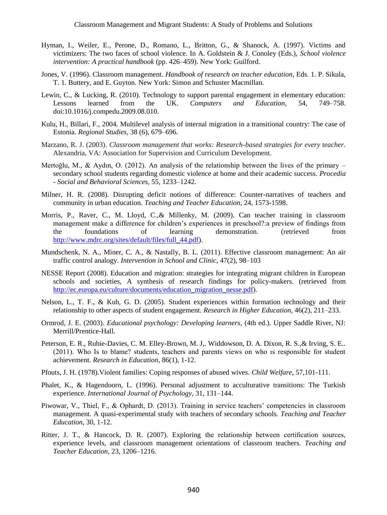- Hyman, I., Weiler, E., Perone, D., Romano, L., Britton, G., & Shanock, A. (1997). Victims and victimizers: The two faces of school violence. In A. Goldstein & J. Conoley (Eds.), *School violence intervention: A practical handbook* (pp. 426–459). New York: Guilford.
- Jones, V. (1996). Classroom management. *Handbook of research on teacher education*, Eds. 1. P. Sikula, T. 1. Buttery, and E. Guyton. New York: Simon and Schuster Macmillan.
- Lewin, C., & Lucking, R. (2010). Technology to support parental engagement in elementary education: Lessons learned from the UK. *Computers and Education*, 54, 749–758. doi:10.1016/j.compedu.2009.08.010.
- Kulu, H., Billari, F., 2004. Multilevel analysis of internal migration in a transitional country: The case of Estonia. *Regional Studies,* 38 (6), 679–696.
- Marzano, R. J. (2003). *Classroom management that works: Research-based strategies for every teacher*. Alexandria, VA: Association for Supervision and Curriculum Development.
- Mertoğlu, M., & Aydın, O. (2012). An analysis of the relationship between the lives of the primary secondary school students regarding domestic violence at home and their academic success. *Procedia - Social and Behavioral Sciences,* 55, 1233–1242.
- Milner, H. R. (2008). Disrupting deficit notions of difference: Counter-narratives of teachers and community in urban education. *Teaching and Teacher Education*, 24, 1573-1598.
- Morris, P., Raver, C., M. Lloyd, C.,& Millenky, M. (2009). Can teacher training in classroom management make a difference for children's experiences in preschool?:a preview of findings from the foundations of learning demonstration. (retrieved from [http://www.mdrc.org/sites/default/files/full\\_44.pdf\)](http://www.mdrc.org/sites/default/files/full_44.pdf).
- Mundschenk, N. A., Miner, C. A., & Nastally, B. L. (2011). Effective classroom management: An air traffic control analogy. *Intervention in School and Clinic,* 47(2), 98–103
- NESSE Report (2008). Education and migration: strategies for integrating migrant children in European schools and societies, A synthesis of research findings for policy-makers. (retrieved from [http://ec.europa.eu/culture/documents/education\\_migration\\_nesse.pdf\)](http://ec.europa.eu/culture/documents/education_migration_nesse.pdf).
- Nelson, L., T. F., & Kuh, G. D. (2005). Student experiences within formation technology and their relationship to other aspects of student engagement. *Research in Higher Education*, 46(2), 211–233.
- Ormrod, J. E. (2003). *Educational psychology: Developing learners*, (4th ed.). Upper Saddle River, NJ: Merrill/Prentice-Hall.
- Peterson, E. R., Rubie-Davies, C. M. Elley-Brown, M. J,. Widdowson, D. A. Dixon, R. S.,& Irving, S. E.. (2011). Who Is to blame? students, teachers and parents views on who ıs responsible for student achievement. *Research in Education*, 86(1), 1-12.
- Pfouts, J. H. (1978).Violent families: Coping responses of abused wives. *Child Welfare*, 57,101-111.
- Phalet, K., & Hagendoorn, L. (1996). Personal adjustment to acculturative transitions: The Turkish experience. *International Journal of Psychology*, 31, 131–144.
- Piwowar, V., Thiel, F., & Ophardt, D. (2013). Training in service teachers' competencies in classroom management. A quasi-experimental study with teachers of secondary schools. *Teaching and Teacher Education*, 30, 1-12.
- Ritter, J. T., & Hancock, D. R. (2007). Exploring the relationship between certification sources, experience levels, and classroom management orientations of classroom teachers. *Teaching and Teacher Education*, 23, 1206–1216.